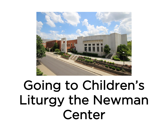

# Going to Children's Liturgy the Newman Center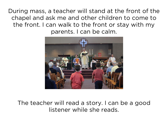During mass, a teacher will stand at the front of the chapel and ask me and other children to come to the front. I can walk to the front or stay with my parents. I can be calm.



#### The teacher will read a story. I can be a good listener while she reads.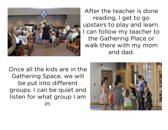

After the teacher is done reading, I get to go upstairs to play and learn. I can follow my teacher to the Gathering Place or walk there with my mom and dad.

Once all the kids are in the Gathering Space, we will be put into different groups. I can be quiet and listen for what group I am in.

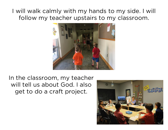## I will walk calmly with my hands to my side. I will follow my teacher upstairs to my classroom.



### In the classroom, my teacher will tell us about God. I also get to do a craft project.